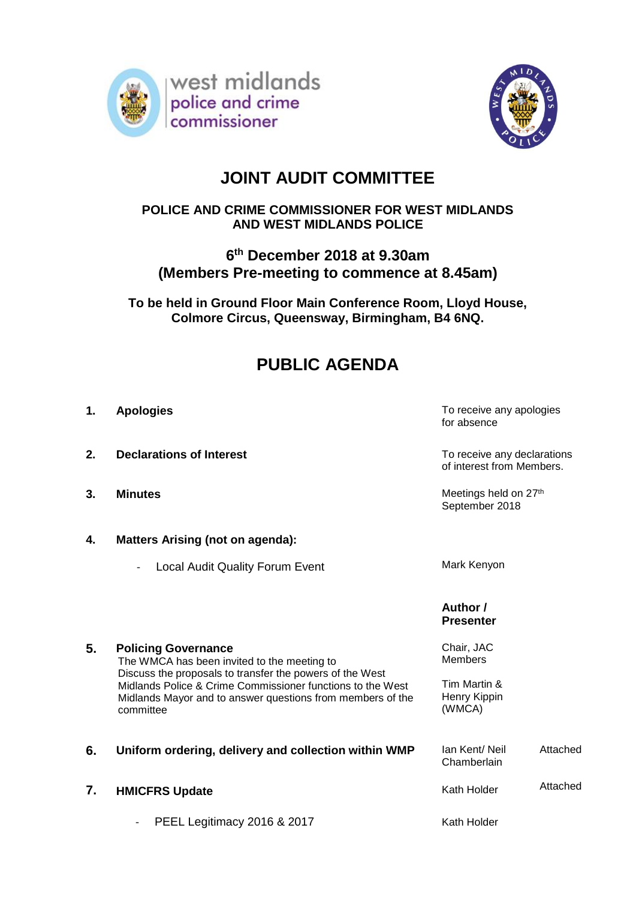



## **JOINT AUDIT COMMITTEE**

## **POLICE AND CRIME COMMISSIONER FOR WEST MIDLANDS AND WEST MIDLANDS POLICE**

## **6 th December 2018 at 9.30am (Members Pre-meeting to commence at 8.45am)**

**To be held in Ground Floor Main Conference Room, Lloyd House, Colmore Circus, Queensway, Birmingham, B4 6NQ.**

# **PUBLIC AGENDA**

- 
- **2. Declarations of Interest TO RECO TO RECO TO RECO TO RECO TO PERSON**

**5. Policing Governance**

committee

- 
- **4. Matters Arising (not on agenda):**
	- Local Audit Quality Forum Event Mark Kenyon

The WMCA has been invited to the meeting to

Discuss the proposals to transfer the powers of the West Midlands Police & Crime Commissioner functions to the West Midlands Mayor and to answer questions from members of the

**1. Apologies** To receive any apologies for absence

of interest from Members.

**3. Minutes** Meetings held on  $27<sup>th</sup>$ September 2018

#### **Author / Presenter**

Chair, JAC Members

Tim Martin & Henry Kippin (WMCA)

**6. Uniform ordering, delivery and collection within WMP** lan Kent/ Neil **Chamberlain** Attached **7. HMICFRS Update** PEEL Legitimacy 2016 & 2017 Kath Holder Kath Holder Attached